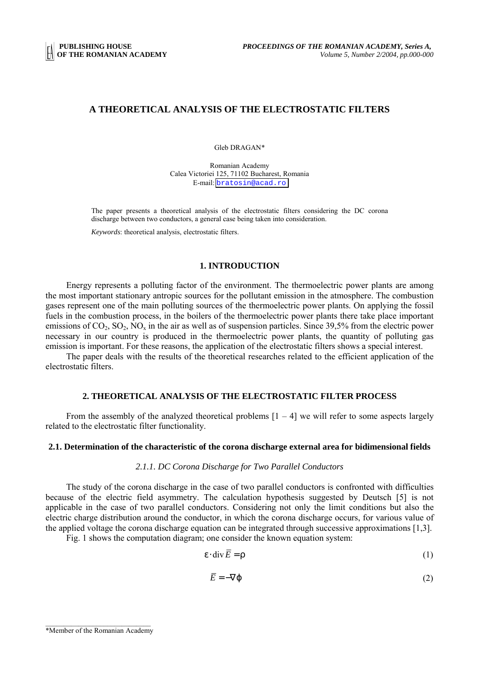## **A THEORETICAL ANALYSIS OF THE ELECTROSTATIC FILTERS**

Gleb DRAGAN\*

Romanian Academy Calea Victoriei 125, 71102 Bucharest, Romania E-mail: [bratosin@acad.ro](mailto:bratosin@acad.ro)

The paper presents a theoretical analysis of the electrostatic filters considering the DC corona discharge between two conductors, a general case being taken into consideration.

*Keywords*: theoretical analysis, electrostatic filters.

#### **1. INTRODUCTION**

Energy represents a polluting factor of the environment. The thermoelectric power plants are among the most important stationary antropic sources for the pollutant emission in the atmosphere. The combustion gases represent one of the main polluting sources of the thermoelectric power plants. On applying the fossil fuels in the combustion process, in the boilers of the thermoelectric power plants there take place important emissions of  $CO_2$ ,  $SO_2$ ,  $NO_x$  in the air as well as of suspension particles. Since 39,5% from the electric power necessary in our country is produced in the thermoelectric power plants, the quantity of polluting gas emission is important. For these reasons, the application of the electrostatic filters shows a special interest.

The paper deals with the results of the theoretical researches related to the efficient application of the electrostatic filters.

# **2. THEORETICAL ANALYSIS OF THE ELECTROSTATIC FILTER PROCESS**

From the assembly of the analyzed theoretical problems  $[1 - 4]$  we will refer to some aspects largely related to the electrostatic filter functionality.

#### **2.1. Determination of the characteristic of the corona discharge external area for bidimensional fields**

## *2.1.1. DC Corona Discharge for Two Parallel Conductors*

The study of the corona discharge in the case of two parallel conductors is confronted with difficulties because of the electric field asymmetry. The calculation hypothesis suggested by Deutsch [5] is not applicable in the case of two parallel conductors. Considering not only the limit conditions but also the electric charge distribution around the conductor, in which the corona discharge occurs, for various value of the applied voltage the corona discharge equation can be integrated through successive approximations [1,3].

Fig. 1 shows the computation diagram; one consider the known equation system:

$$
\varepsilon \cdot \operatorname{div} \overline{E} = \rho \tag{1}
$$

$$
\overline{E} = -\nabla \varphi \tag{2}
$$

 $\mathcal{L}_\text{max}$ \*Member of the Romanian Academy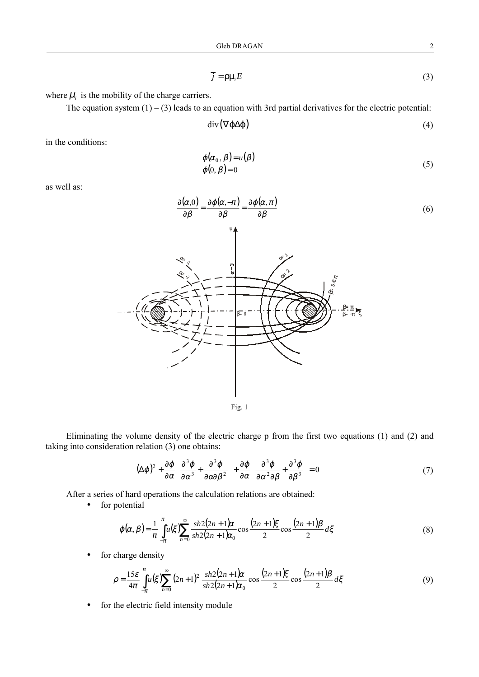$$
\overline{j} = \rho \mu_i \overline{E} \tag{3}
$$

where  $\mu_i$  is the mobility of the charge carriers.

The equation system  $(1) - (3)$  leads to an equation with 3rd partial derivatives for the electric potential:

$$
\operatorname{div}(\nabla \varphi \Delta \varphi) \tag{4}
$$

in the conditions:

$$
\varphi(\alpha_0, \beta) = u(\beta) \n\varphi(0, \beta) = 0
$$
\n(5)

as well as:



Fig. 1

Eliminating the volume density of the electric charge p from the first two equations (1) and (2) and taking into consideration relation (3) one obtains:

$$
(\Delta \varphi)^2 + \frac{\partial \varphi}{\partial \alpha} \left( \frac{\partial^3 \varphi}{\partial \alpha^3} + \frac{\partial^3 \varphi}{\partial \alpha \partial \beta^2} \right) + \frac{\partial \varphi}{\partial \alpha} \left( \frac{\partial^3 \varphi}{\partial \alpha^2 \partial \beta} + \frac{\partial^3 \varphi}{\partial \beta^3} \right) = 0
$$
 (7)

After a series of hard operations the calculation relations are obtained:

• for potential

$$
\varphi(\alpha,\beta) = \frac{1}{\pi} \int_{-\pi}^{\pi} u(\xi) \sum_{n=0}^{\infty} \frac{sh2(2n+1)\alpha}{sh2(2n+1)\alpha_0} \cos \frac{(2n+1)\xi}{2} \cos \frac{(2n+1)\beta}{2} d\xi
$$
(8)

• for charge density

$$
\rho = \frac{15\varepsilon}{4\pi} \int_{-\pi}^{\pi} u(\xi) \sum_{n=0}^{\infty} (2n+1)^2 \frac{sh2(2n+1)\alpha}{sh2(2n+1)\alpha_0} \cos \frac{(2n+1)\xi}{2} \cos \frac{(2n+1)\beta}{2} d\xi
$$
(9)

• for the electric field intensity module

(6)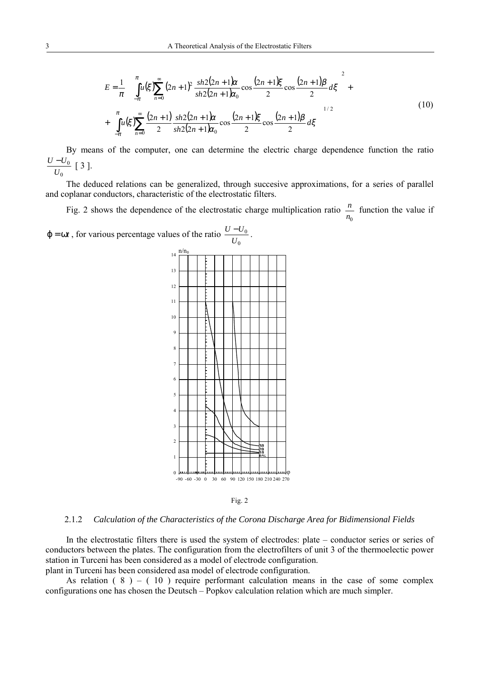$$
E = \frac{1}{\pi} \left\{ \int_{-\pi}^{\pi} u(\xi) \sum_{n=0}^{\infty} (2n+1)^2 \frac{sh2(2n+1)\alpha}{sh2(2n+1)\alpha_0} \cos \frac{(2n+1)\xi}{2} \cos \frac{(2n+1)\beta}{2} d\xi \right\}^2 + \left\{ \int_{-\pi}^{\pi} u(\xi) \sum_{n=0}^{\infty} \frac{(2n+1)}{2} \frac{sh2(2n+1)\alpha}{sh2(2n+1)\alpha_0} \cos \frac{(2n+1)\xi}{2} \cos \frac{(2n+1)\beta}{2} d\xi \right\}^{1/2}
$$
(10)

By means of the computer, one can determine the electric charge dependence function the ratio 0  $\frac{U-U_0}{U_0}$  [ 3 ].

The deduced relations can be generalized, through succesive approximations, for a series of parallel and coplanar conductors, characteristic of the electrostatic filters.

Fig. 2 shows the dependence of the electrostatic charge multiplication ratio  $\frac{n}{n_0}$  function the value if







#### 2.1.2 *Calculation of the Characteristics of the Corona Discharge Area for Bidimensional Fields*

In the electrostatic filters there is used the system of electrodes: plate – conductor series or series of conductors between the plates. The configuration from the electrofilters of unit 3 of the thermoelectic power station in Turceni has been considered as a model of electrode configuration. plant in Turceni has been considered asa model of electrode configuration.

As relation  $(8) - (10)$  require performant calculation means in the case of some complex configurations one has chosen the Deutsch – Popkov calculation relation which are much simpler.

0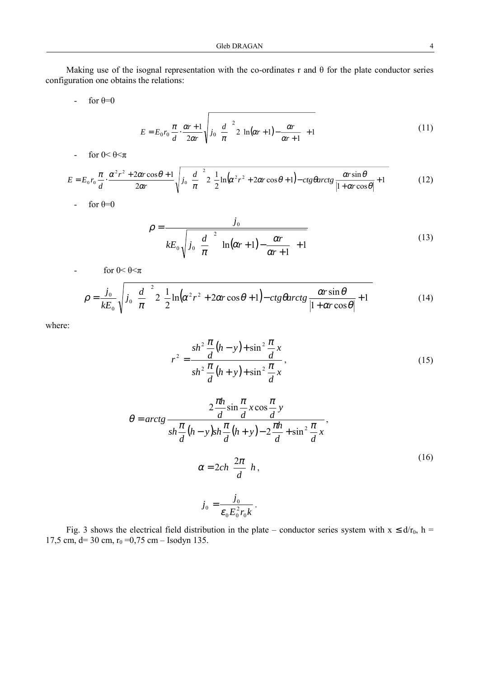Making use of the isognal representation with the co-ordinates r and θ for the plate conductor series configuration one obtains the relations:

- for  $\theta=0$ 

$$
E = E_0 r_0 \frac{\pi}{d} \cdot \frac{\alpha r + 1}{2\alpha r} \sqrt{j_0 \left(\frac{d}{\pi}\right)^2 2 \left[\ln(\alpha r + 1) - \frac{\alpha r}{\alpha r + 1}\right] + 1}
$$
(11)

- for  $0 < \theta \leq \pi$ 

$$
E = E_0 r_0 \frac{\pi}{d} \cdot \frac{\alpha^2 r^2 + 2\alpha r \cos \theta + 1}{2\alpha r} \sqrt{j_0 \left(\frac{d}{\pi}\right)^2 2 \left[\frac{1}{2} \ln(\alpha^2 r^2 + 2\alpha r \cos \theta + 1) - ctg \theta \arctg \frac{\alpha r \sin \theta}{|1 + \alpha r \cos \theta|} + 1\right]}
$$
(12)

- for  $\theta=0$ 

$$
\rho = \frac{j_0}{kE_0\sqrt{j_0\left(\frac{d}{\pi}\right)^2 \left[\ln(\alpha r + 1) - \frac{\alpha r}{\alpha r + 1}\right] + 1}}
$$
\n(13)

- for  $0 < \theta \leq \pi$ 

$$
\rho = \frac{j_0}{kE_0} \sqrt{j_0 \left(\frac{d}{\pi}\right)^2 2 \left[\frac{1}{2} \ln(\alpha^2 r^2 + 2\alpha r \cos \theta + 1) - ctg \theta \arctg \frac{\alpha r \sin \theta}{|1 + \alpha r \cos \theta|} + 1\right]}
$$
(14)

where:

$$
r^{2} = \frac{sh^{2} \frac{\pi}{d} (h - y) + \sin^{2} \frac{\pi}{d} x}{sh^{2} \frac{\pi}{d} (h + y) + \sin^{2} \frac{\pi}{d} x},
$$
\n(15)

$$
\theta = \arctg \frac{2\frac{\pi h}{d}\sin\frac{\pi}{d}x\cos\frac{\pi}{d}y}{sh\frac{\pi}{d}(h-y)sh\frac{\pi}{d}(h+y) - 2\frac{\pi h}{d} + \sin^2\frac{\pi}{d}x},
$$
  

$$
\alpha = 2ch\left(\frac{2\pi}{d}\right)h,
$$
  

$$
j_0 = \frac{j_0}{\epsilon_0 E_0^2 r_0 k}.
$$
 (16)

Fig. 3 shows the electrical field distribution in the plate – conductor series system with  $x \le d/r_0$ , h = 17,5 cm, d= 30 cm,  $r_0 = 0.75$  cm – Isodyn 135.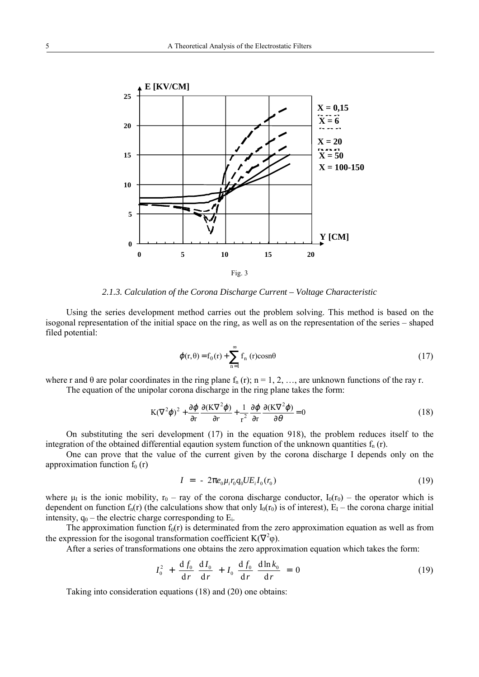

*2.1.3. Calculation of the Corona Discharge Current – Voltage Characteristic*

Using the series development method carries out the problem solving. This method is based on the isogonal representation of the initial space on the ring, as well as on the representation of the series – shaped filed potential:

$$
\varphi(\mathbf{r}, \theta) = \mathbf{f}_0(\mathbf{r}) + \sum_{n=1}^{\infty} \mathbf{f}_n(\mathbf{r}) \cos n\theta \tag{17}
$$

where r and  $\theta$  are polar coordinates in the ring plane  $f_n(r)$ ; n = 1, 2, …, are unknown functions of the ray r. The equation of the unipolar corona discharge in the ring plane takes the form:

$$
K(\nabla^2 \varphi)^2 + \frac{\partial \varphi}{\partial r} \frac{\partial (K\nabla^2 \varphi)}{\partial r} + \frac{1}{r^2} \frac{\partial \varphi}{\partial r} \frac{\partial (K\nabla^2 \varphi)}{\partial \theta} = 0
$$
 (18)

On substituting the seri development (17) in the equation 918), the problem reduces itself to the integration of the obtained differential eqaution system function of the unknown quantities  $f_n(r)$ .

One can prove that the value of the current given by the corona discharge I depends only on the approximation function  $f_0(r)$ 

$$
I = -2\pi e_0 \mu_i r_0 q_0 U E_i I_0(r_0)
$$
\n(19)

where  $\mu_1$  is the ionic mobility,  $r_0$  – ray of the corona discharge conductor,  $I_0(r_0)$  – the operator which is dependent on function  $f_n(r)$  (the calculations show that only  $I_0(r_0)$  is of interest),  $E_1$  – the corona charge initial intensity,  $q_0$  – the electric charge corresponding to  $E_i$ .

The approximation function  $f_0(r)$  is determinated from the zero approximation equation as well as from the expression for the isogonal transformation coefficient  $K(\nabla^2 \varphi)$ .

After a series of transformations one obtains the zero approximation equation which takes the form:

$$
I_0^2 + \frac{df_0}{dr} \frac{dI_0}{dr} + I_0 \frac{df_0}{dr} \frac{d\ln k_0}{dr} = 0
$$
 (19)

Taking into consideration equations (18) and (20) one obtains: